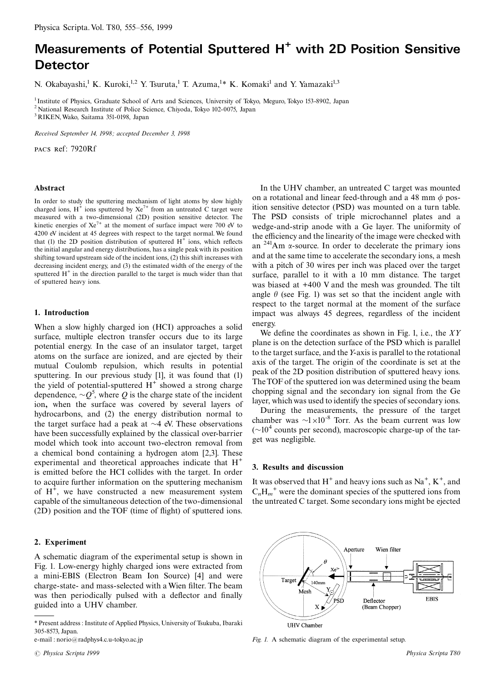# Measurements of Potential Sputtered H<sup>+</sup> with 2D Position Sensitive **Detector**

N. Okabayashi,<sup>1</sup> K. Kuroki,<sup>1,2</sup> Y. Tsuruta,<sup>1</sup> T. Azuma,<sup>1</sup>\* K. Komaki<sup>1</sup> and Y. Yamazaki<sup>1,3</sup>

<sup>1</sup> Institute of Physics, Graduate School of Arts and Sciences, University of Tokyo, Meguro, Tokyo 153-8902, Japan <sup>2</sup> National Research Institute of Police Science, Chiyoda, Tokyo 102-0075, Japan

<sup>3</sup> RIKEN, Wako, Saitama 351-0198, Japan

Received September 14, 1998; accepted December 3, 1998

PACS Ref: 7920Rf

### Abstract

In order to study the sputtering mechanism of light atoms by slow highly charged ions,  $H^+$  ions sputtered by  $Xe^{7+}$  from an untreated C target were measured with a two-dimensional (2D) position sensitive detector. The kinetic energies of  $Xe^{7+}$  at the moment of surface impact were 700 eV to 4200 eV incident at 45 degrees with respect to the target normal. We found that (1) the 2D position distribution of sputtered  $H^+$  ions, which reflects the initial angular and energy distributions, has a single peak with its position shifting toward upstream side of the incident ions, (2) this shift increases with decreasing incident energy, and (3) the estimated width of the energy of the sputtered  $H^+$  in the direction parallel to the target is much wider than that of sputtered heavy ions.

## 1. Introduction

When a slow highly charged ion (HCI) approaches a solid surface, multiple electron transfer occurs due to its large potential energy. In the case of an insulator target, target atoms on the surface are ionized, and are ejected by their mutual Coulomb repulsion, which results in potential sputtering. In our previous study [1], it was found that (1) the yield of potential-sputtered  $H^+$  showed a strong charge dependence,  $\sim Q^5$ , where Q is the charge state of the incident ion, when the surface was covered by several layers of hydrocarbons, and (2) the energy distribution normal to the target surface had a peak at  $\sim$ 4 eV. These observations have been successfully explained by the classical over-barrier model which took into account two-electron removal from a chemical bond containing a hydrogen atom [2,3]. These experimental and theoretical approaches indicate that  $H^+$ is emitted before the HCI collides with the target. In order to acquire further information on the sputtering mechanism of  $H^+$ , we have constructed a new measurement system capable of the simultaneous detection of the two-dimensional (2D) position and the TOF (time of flight) of sputtered ions.

## 2. Experiment

A schematic diagram of the experimental setup is shown in Fig. 1. Low-energy highly charged ions were extracted from a mini-EBIS (Electron Beam Ion Source) [4] and were charge-state- and mass-selected with a Wien filter. The beam was then periodically pulsed with a deflector and finally guided into a UHV chamber.

e-mail: norio@radphys4.c.u-tokyo.ac.jp

In the UHV chamber, an untreated C target was mounted on a rotational and linear feed-through and a 48 mm  $\phi$  position sensitive detector (PSD) was mounted on a turn table. The PSD consists of triple microchannel plates and a wedge-and-strip anode with a Ge layer. The uniformity of the efficiency and the linearity of the image were checked with an  $241$ Am  $\alpha$ -source. In order to decelerate the primary ions and at the same time to accelerate the secondary ions, a mesh with a pitch of 30 wires per inch was placed over the target surface, parallel to it with a 10 mm distance. The target was biased at  $+400$  V and the mesh was grounded. The tilt angle  $\theta$  (see Fig. 1) was set so that the incident angle with respect to the target normal at the moment of the surface impact was always 45 degrees, regardless of the incident energy.

We define the coordinates as shown in Fig. 1, i.e., the  $XY$ plane is on the detection surface of the PSD which is parallel to the target surface, and the Y-axis is parallel to the rotational axis of the target. The origin of the coordinate is set at the peak of the 2D position distribution of sputtered heavy ions. The TOF of the sputtered ion was determined using the beam chopping signal and the secondary ion signal from the Ge layer, which was used to identify the species of secondary ions.

During the measurements, the pressure of the target chamber was  $\sim 1 \times 10^{-8}$  Torr. As the beam current was low  $({\sim}10^4$  counts per second), macroscopic charge-up of the target was negligible.

## 3. Results and discussion

It was observed that  $H^+$  and heavy ions such as Na<sup>+</sup>, K<sup>+</sup>, and  $C_nH_m^+$  were the dominant species of the sputtered ions from the untreated C target. Some secondary ions might be ejected



Fig. 1. A schematic diagram of the experimental setup.

<sup>\*</sup> Present address : Institute of Applied Physics, University of Tsukuba, Ibaraki 305-8573, Japan.